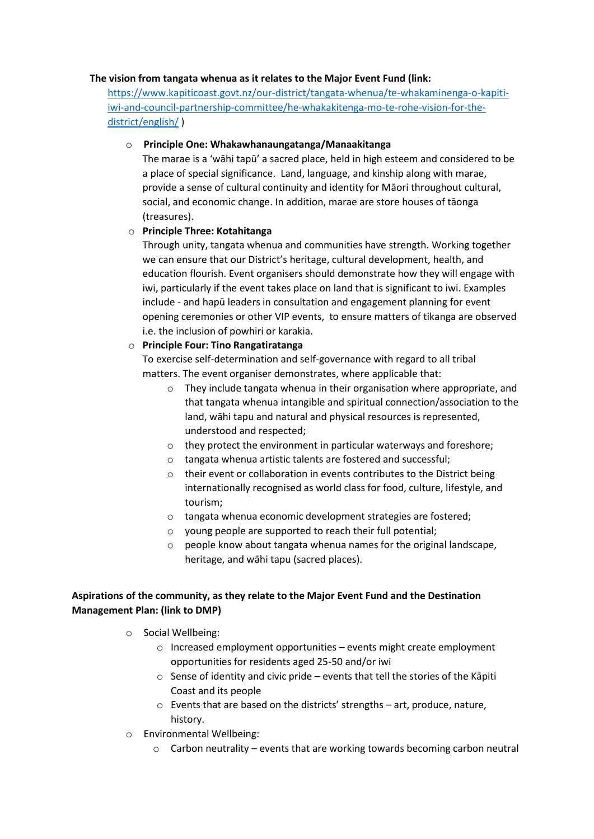#### **The vision from tangata whenua as it relates to the Major Event Fund (link:**

[https://www.kapiticoast.govt.nz/our-district/tangata-whenua/te-whakaminenga-o-kapiti](https://www.kapiticoast.govt.nz/our-district/tangata-whenua/te-whakaminenga-o-kapiti-iwi-and-council-partnership-committee/he-whakakitenga-mo-te-rohe-vision-for-the-district/english/)[iwi-and-council-partnership-committee/he-whakakitenga-mo-te-rohe-vision-for-the](https://www.kapiticoast.govt.nz/our-district/tangata-whenua/te-whakaminenga-o-kapiti-iwi-and-council-partnership-committee/he-whakakitenga-mo-te-rohe-vision-for-the-district/english/)[district/english/](https://www.kapiticoast.govt.nz/our-district/tangata-whenua/te-whakaminenga-o-kapiti-iwi-and-council-partnership-committee/he-whakakitenga-mo-te-rohe-vision-for-the-district/english/) )

#### o **Principle One: Whakawhanaungatanga/Manaakitanga**

The marae is a 'wāhi tapū' a sacred place, held in high esteem and considered to be a place of special significance. Land, language, and kinship along with marae, provide a sense of cultural continuity and identity for Māori throughout cultural, social, and economic change. In addition, marae are store houses of tāonga (treasures).

## o **Principle Three: Kotahitanga**

Through unity, tangata whenua and communities have strength. Working together we can ensure that our District's heritage, cultural development, health, and education flourish. Event organisers should demonstrate how they will engage with iwi, particularly if the event takes place on land that is significant to iwi. Examples include - and hapū leaders in consultation and engagement planning for event opening ceremonies or other VIP events, to ensure matters of tikanga are observed i.e. the inclusion of powhiri or karakia.

## o **Principle Four: Tino Rangatiratanga**

To exercise self-determination and self-governance with regard to all tribal matters. The event organiser demonstrates, where applicable that:

- $\circ$  They include tangata whenua in their organisation where appropriate, and that tangata whenua intangible and spiritual connection/association to the land, wāhi tapu and natural and physical resources is represented, understood and respected;
- o they protect the environment in particular waterways and foreshore;
- o tangata whenua artistic talents are fostered and successful;
- o their event or collaboration in events contributes to the District being internationally recognised as world class for food, culture, lifestyle, and tourism;
- o tangata whenua economic development strategies are fostered;
- o young people are supported to reach their full potential;
- $\circ$  people know about tangata whenua names for the original landscape. heritage, and wāhi tapu (sacred places).

# **Aspirations of the community, as they relate to the Major Event Fund and the Destination Management Plan: (link to DMP)**

- o Social Wellbeing:
	- o Increased employment opportunities events might create employment opportunities for residents aged 25-50 and/or iwi
	- o Sense of identity and civic pride events that tell the stories of the Kāpiti Coast and its people
	- o Events that are based on the districts' strengths art, produce, nature, history.
- o Environmental Wellbeing:
	- $\circ$  Carbon neutrality events that are working towards becoming carbon neutral